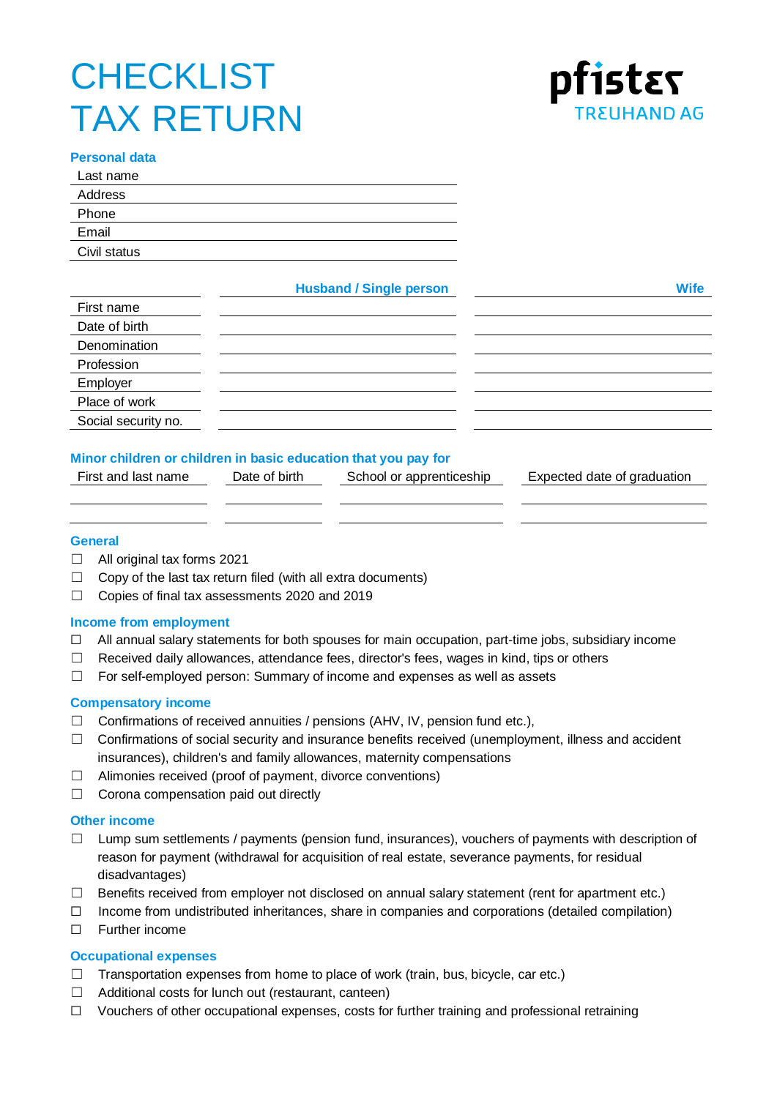# **CHECKLIST** TAX RETURN



## **Personal data**

| Address<br>Phone<br>Email |
|---------------------------|
|                           |
|                           |
|                           |
| Civil status              |

**Husband / Single person Wife**

| First name          |  |
|---------------------|--|
| Date of birth       |  |
| Denomination        |  |
| Profession          |  |
| Employer            |  |
| Place of work       |  |
| Social security no. |  |

## **Minor children or children in basic education that you pay for**

| First and last name | Date of birth | School or apprenticeship | Expected date of graduation |
|---------------------|---------------|--------------------------|-----------------------------|
|                     |               |                          |                             |

## **General**

- ☐ All original tax forms 2021
- $\Box$  Copy of the last tax return filed (with all extra documents)
- ☐ Copies of final tax assessments 2020 and 2019

## **Income from employment**

- $\Box$  All annual salary statements for both spouses for main occupation, part-time jobs, subsidiary income
- $\Box$  Received daily allowances, attendance fees, director's fees, wages in kind, tips or others
- ☐ For self-employed person: Summary of income and expenses as well as assets

## **Compensatory income**

- $\Box$  Confirmations of received annuities / pensions (AHV, IV, pension fund etc.),
- $\Box$  Confirmations of social security and insurance benefits received (unemployment, illness and accident insurances), children's and family allowances, maternity compensations
- ☐ Alimonies received (proof of payment, divorce conventions)
- $\Box$  Corona compensation paid out directly

## **Other income**

- $\Box$  Lump sum settlements / payments (pension fund, insurances), vouchers of payments with description of reason for payment (withdrawal for acquisition of real estate, severance payments, for residual disadvantages)
- ☐ Benefits received from employer not disclosed on annual salary statement (rent for apartment etc.)
- ☐ Income from undistributed inheritances, share in companies and corporations (detailed compilation)
- ☐ Further income

## **Occupational expenses**

- $\Box$  Transportation expenses from home to place of work (train, bus, bicycle, car etc.)
- $\Box$  Additional costs for lunch out (restaurant, canteen)
- ☐ Vouchers of other occupational expenses, costs for further training and professional retraining